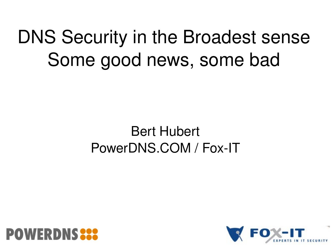#### DNS Security in the Broadest sense Some good news, some bad

#### Bert Hubert PowerDNS.COM / Fox-IT



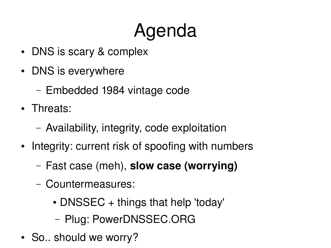## Agenda

- DNS is scary & complex
- DNS is everywhere
	- Embedded 1984 vintage code
- Threats:
	- Availability, integrity, code exploitation
- Integrity: current risk of spoofing with numbers
	- Fast case (meh), **slow case (worrying)**
	- Countermeasures:
		- DNSSEC + things that help 'today'
		- Plug: PowerDNSSEC.ORG
- So.. should we worry?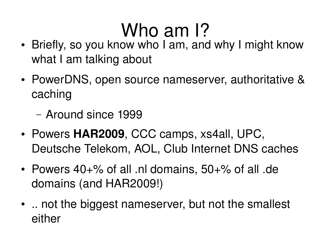#### Who am 1?

- Briefly, so you know who I am, and why I might know what I am talking about
- PowerDNS, open source nameserver, authoritative & caching
	- Around since 1999
- Powers **HAR2009**, CCC camps, xs4all, UPC, Deutsche Telekom, AOL, Club Internet DNS caches
- Powers  $40+$ % of all .nl domains,  $50+$ % of all .de domains (and HAR2009!)
- .. not the biggest nameserver, but not the smallest either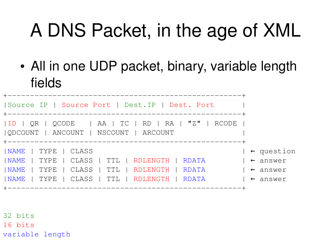## A DNS Packet, in the age of XML

• All in one UDP packet, binary, variable length fields

| Source IP   Source Port   Dest. IP   Dest. Port                                                                                     |                                                                   |
|-------------------------------------------------------------------------------------------------------------------------------------|-------------------------------------------------------------------|
| $ ID   QR   QCODE   AA   TC   RD   RA   "Z"   RCODE$<br>  QDCOUNT   ANCOUNT   NSCOUNT   ARCOUNT                                     |                                                                   |
| NAME   TYPE   CLASS<br>  NAME   TYPE<br>  CLASS   TTL   RDLENGTH   RDATA<br>  NAME<br>  TYPE<br>  TTL   RDLENGTH   RDATA<br>  CLASS | $\vert \leftarrow$ question<br>$\vdash$ answer<br>$\vdash$ answer |
| NAME<br>  TYPE   CLASS   TTL   RDLENGTH   RDATA<br>______________________                                                           | $\vert \leftarrow$ answer                                         |

32 bits 16 bits variable length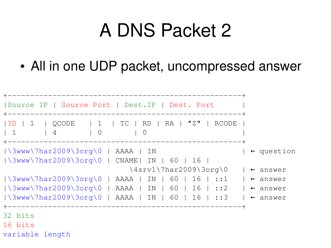#### A DNS Packet 2

• All in one UDP packet, uncompressed answer

```
+----------------------------------------------------+
|Source IP | Source Port | Dest.IP | Dest. Port |
 +----------------------------------------------------+
|ID | 1 | QCODE | 1 | TC | RD | RA | "Z" | RCODE |
| 1 | 4 | 0 | 0
          +----------------------------------------------------+
|\lambda3WW\lambda7har2009\lambda3org\0 | AAAA | IN | \leftarrow question
|\3www\7har2009\3org\0 | CNAME| IN | 60 | 16 |
                            \lambda4srv1\7har2009\3org\0 | ← answer
|\3www\7har2009\3org\0 | AAAA | IN | 60 | 16 | ::1 | ← answer
|\3www\7har2009\3org\0 | AAAA | IN | 60 | 16 | ::2 | ← answer
|\lambda_{3\text{WW}}\rangle7har2009\3org\0 | AAAA | IN | 60 | 16 | ::3 | ← answer
 +----------------------------------------------------+
32 bits
16 bits
variable length
```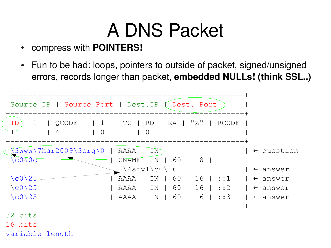#### A DNS Packet

- compress with **POINTERS!**
- Fun to be had: loops, pointers to outside of packet, signed/unsigned errors, records longer than packet, **embedded NULLs! (think SSL..)**

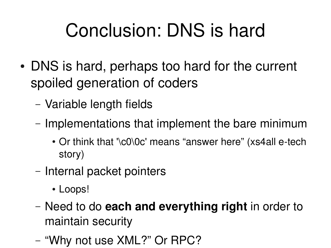## Conclusion: DNS is hard

- DNS is hard, perhaps too hard for the current spoiled generation of coders
	- Variable length fields
	- Implementations that implement the bare minimum
		- Or think that '\c0\0c' means "answer here" (xs4all e-tech story)
	- Internal packet pointers
		- Loops!
	- Need to do **each and everything right** in order to maintain security
	- "Why not use XML?" Or RPC?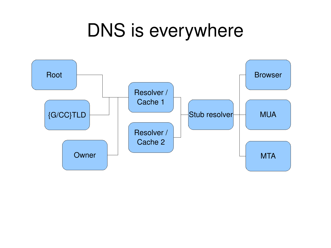#### DNS is everywhere

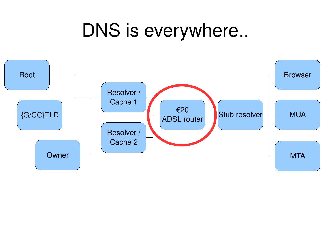#### DNS is everywhere..

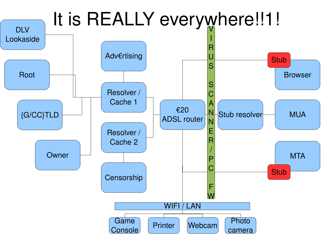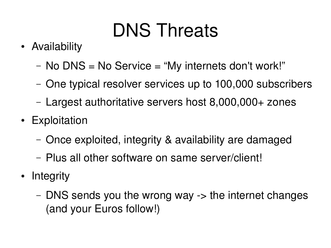## DNS Threats

- Availability
	- No DNS = No Service = "My internets don't work!"
	- One typical resolver services up to 100,000 subscribers
	- Largest authoritative servers host 8,000,000+ zones
- Exploitation
	- Once exploited, integrity & availability are damaged
	- Plus all other software on same server/client!
- Integrity
	- $-$  DNS sends you the wrong way  $\rightarrow$  the internet changes (and your Euros follow!)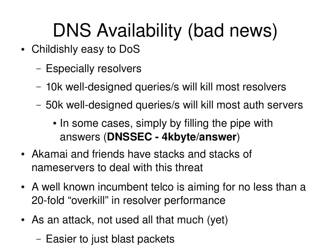## DNS Availability (bad news)

- Childishly easy to DoS
	- Especially resolvers
	- 10k well-designed queries/s will kill most resolvers
	- 50k well-designed queries/s will kill most auth servers
		- In some cases, simply by filling the pipe with answers (**DNSSEC 4kbyte/answer**)
- Akamai and friends have stacks and stacks of nameservers to deal with this threat
- A well known incumbent telco is aiming for no less than a 20-fold "overkill" in resolver performance
- As an attack, not used all that much (yet)
	- Easier to just blast packets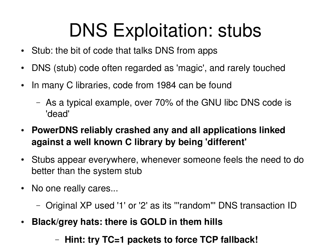#### DNS Exploitation: stubs

- Stub: the bit of code that talks DNS from apps
- DNS (stub) code often regarded as 'magic', and rarely touched
- In many C libraries, code from 1984 can be found
	- As a typical example, over 70% of the GNU libc DNS code is 'dead'
- **PowerDNS reliably crashed any and all applications linked against a well known C library by being 'different'**
- Stubs appear everywhere, whenever someone feels the need to do better than the system stub
- No one really cares...
	- Original XP used '1' or '2' as its '''random''' DNS transaction ID
- Black/grey hats: there is GOLD in them hills

#### – **Hint: try TC=1 packets to force TCP fallback!**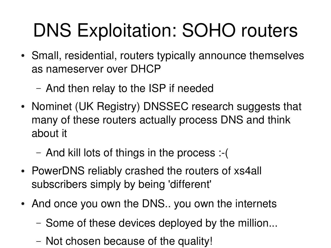## DNS Exploitation: SOHO routers

- Small, residential, routers typically announce themselves as nameserver over DHCP
	- And then relay to the ISP if needed
- Nominet (UK Registry) DNSSEC research suggests that many of these routers actually process DNS and think about it
	- And kill lots of things in the process :-(
- PowerDNS reliably crashed the routers of xs4all subscribers simply by being 'different'
- And once you own the DNS.. you own the internets
	- Some of these devices deployed by the million...
	- Not chosen because of the quality!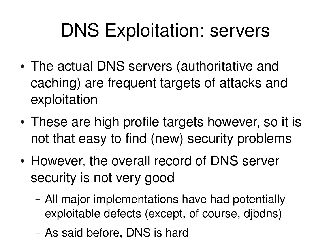#### DNS Exploitation: servers

- The actual DNS servers (authoritative and caching) are frequent targets of attacks and exploitation
- These are high profile targets however, so it is not that easy to find (new) security problems
- However, the overall record of DNS server security is not very good
	- All major implementations have had potentially exploitable defects (except, of course, djbdns)
	- As said before, DNS is hard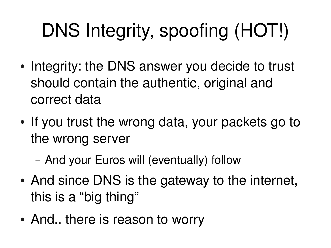# DNS Integrity, spoofing (HOT!)

- Integrity: the DNS answer you decide to trust should contain the authentic, original and correct data
- If you trust the wrong data, your packets go to the wrong server
	- And your Euros will (eventually) follow
- And since DNS is the gateway to the internet, this is a "big thing"
- And.. there is reason to worry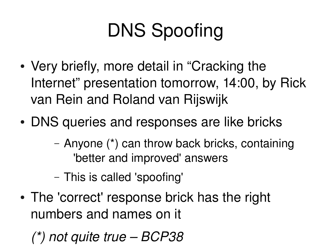## DNS Spoofing

- Very briefly, more detail in "Cracking the Internet" presentation tomorrow, 14:00, by Rick van Rein and Roland van Rijswijk
- DNS queries and responses are like bricks
	- Anyone (\*) can throw back bricks, containing 'better and improved' answers
	- This is called 'spoofing'
- The 'correct' response brick has the right numbers and names on it
	- *(\*) not quite true BCP38*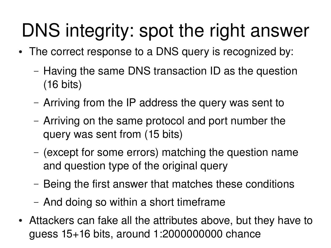## DNS integrity: spot the right answer

- The correct response to a DNS query is recognized by:
	- Having the same DNS transaction ID as the question (16 bits)
	- Arriving from the IP address the query was sent to
	- Arriving on the same protocol and port number the query was sent from (15 bits)
	- (except for some errors) matching the question name and question type of the original query
	- Being the first answer that matches these conditions
	- And doing so within a short timeframe
- Attackers can fake all the attributes above, but they have to guess 15+16 bits, around 1:2000000000 chance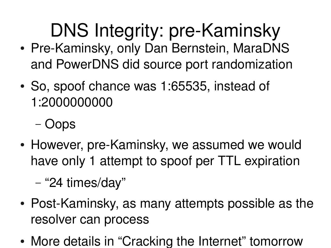DNS Integrity: pre-Kaminsky

- Pre-Kaminsky, only Dan Bernstein, MaraDNS and PowerDNS did source port randomization
- So, spoof chance was 1:65535, instead of 1:2000000000
	- Oops
- However, pre-Kaminsky, we assumed we would have only 1 attempt to spoof per TTL expiration
	- "24 times/day"
- Post-Kaminsky, as many attempts possible as the resolver can process
- More details in "Cracking the Internet" tomorrow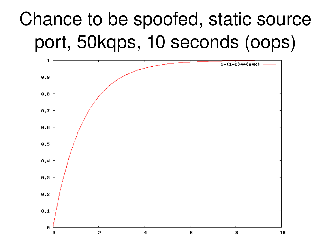#### Chance to be spoofed, static source port, 50kqps, 10 seconds (oops)

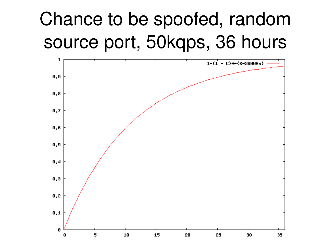#### Chance to be spoofed, random source port, 50kqps, 36 hours

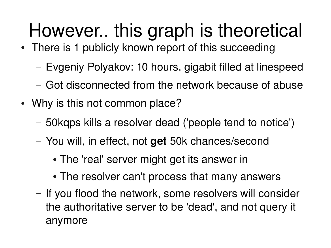### However.. this graph is theoretical

- There is 1 publicly known report of this succeeding
	- Evgeniy Polyakov: 10 hours, gigabit filled at linespeed
	- Got disconnected from the network because of abuse
- Why is this not common place?
	- 50kqps kills a resolver dead ('people tend to notice')
	- You will, in effect, not **get** 50k chances/second
		- The 'real' server might get its answer in
		- The resolver can't process that many answers
	- If you flood the network, some resolvers will consider the authoritative server to be 'dead', and not query it anymore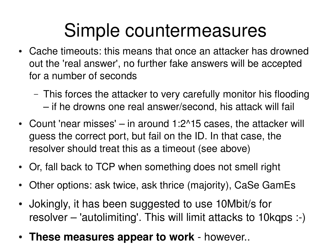#### Simple countermeasures

- Cache timeouts: this means that once an attacker has drowned out the 'real answer', no further fake answers will be accepted for a number of seconds
	- This forces the attacker to very carefully monitor his flooding – if he drowns one real answer/second, his attack will fail
- Count 'near misses'  $-$  in around 1:2^15 cases, the attacker will guess the correct port, but fail on the ID. In that case, the resolver should treat this as a timeout (see above)
- Or, fall back to TCP when something does not smell right
- Other options: ask twice, ask thrice (majority), CaSe GamEs
- Jokingly, it has been suggested to use 10Mbit/s for resolver – 'autolimiting'. This will limit attacks to 10kqps :-)
- These measures appear to work however..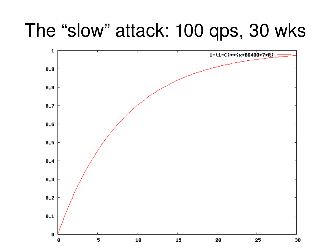#### The "slow" attack: 100 qps, 30 wks

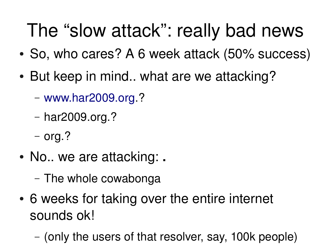#### The "slow attack": really bad news

- So, who cares? A 6 week attack (50% success)
- But keep in mind.. what are we attacking?
	- [www.har2009.org.](http://www.har2009.org/)?
	- har2009.org.?
	- org.?
- No.. we are attacking: **.**
	- The whole cowabonga
- 6 weeks for taking over the entire internet sounds ok!
	- (only the users of that resolver, say, 100k people)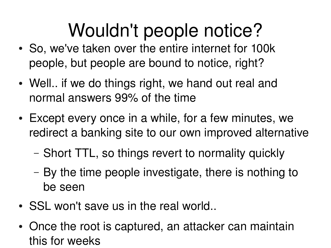## Wouldn't people notice?

- So, we've taken over the entire internet for 100k people, but people are bound to notice, right?
- Well.. if we do things right, we hand out real and normal answers 99% of the time
- Except every once in a while, for a few minutes, we redirect a banking site to our own improved alternative
	- Short TTL, so things revert to normality quickly
	- By the time people investigate, there is nothing to be seen
- SSL won't save us in the real world..
- Once the root is captured, an attacker can maintain this for weeks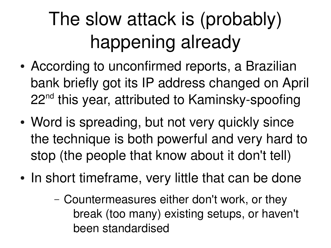## The slow attack is (probably) happening already

- According to unconfirmed reports, a Brazilian bank briefly got its IP address changed on April 22<sup>nd</sup> this year, attributed to Kaminsky-spoofing
- Word is spreading, but not very quickly since the technique is both powerful and very hard to stop (the people that know about it don't tell)
- In short timeframe, very little that can be done
	- Countermeasures either don't work, or they break (too many) existing setups, or haven't been standardised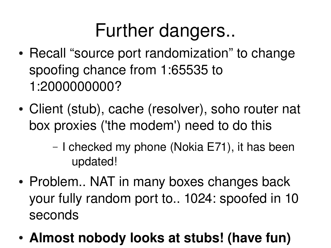#### Further dangers..

- Recall "source port randomization" to change spoofing chance from 1:65535 to 1:2000000000?
- Client (stub), cache (resolver), soho router nat box proxies ('the modem') need to do this
	- I checked my phone (Nokia E71), it has been updated!
- Problem.. NAT in many boxes changes back your fully random port to.. 1024: spoofed in 10 seconds
- Almost nobody looks at stubs! (have fun)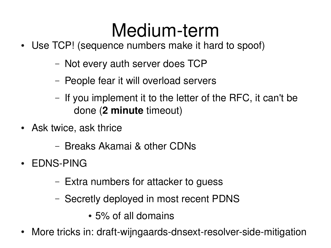#### Medium-term

- Use TCP! (sequence numbers make it hard to spoof)
	- Not every auth server does TCP
	- People fear it will overload servers
	- If you implement it to the letter of the RFC, it can't be done (**2 minute** timeout)
- Ask twice, ask thrice
	- Breaks Akamai & other CDNs
- EDNS-PING
	- Extra numbers for attacker to guess
	- Secretly deployed in most recent PDNS
		- 5% of all domains
- More tricks in: draft-wijngaards-dnsext-resolver-side-mitigation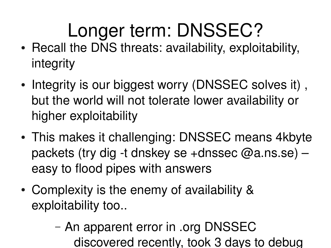## Longer term: DNSSEC?

- Recall the DNS threats: availability, exploitability, integrity
- Integrity is our biggest worry (DNSSEC solves it), but the world will not tolerate lower availability or higher exploitability
- This makes it challenging: DNSSEC means 4kbyte packets (try dig -t dnskey se +dnssec  $@a$ .ns.se) – easy to flood pipes with answers
- Complexity is the enemy of availability & exploitability too..
	- An apparent error in .org DNSSEC discovered recently, took 3 days to debug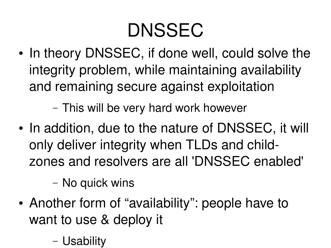#### DNSSEC

• In theory DNSSEC, if done well, could solve the integrity problem, while maintaining availability and remaining secure against exploitation

– This will be very hard work however

• In addition, due to the nature of DNSSEC, it will only deliver integrity when TLDs and childzones and resolvers are all 'DNSSEC enabled'

– No quick wins

- Another form of "availability": people have to want to use & deploy it
	- Usability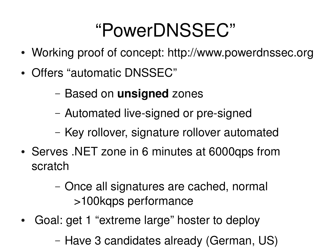#### "PowerDNSSEC"

- Working proof of concept: http://www.powerdnssec.org
- Offers "automatic DNSSEC"
	- Based on **unsigned** zones
	- Automated live-signed or pre-signed
	- Key rollover, signature rollover automated
- Serves .NET zone in 6 minutes at 6000qps from scratch
	- Once all signatures are cached, normal >100kqps performance
- Goal: get 1 "extreme large" hoster to deploy
	- Have 3 candidates already (German, US)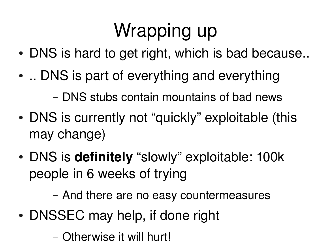## Wrapping up

- DNS is hard to get right, which is bad because..
- .. DNS is part of everything and everything

– DNS stubs contain mountains of bad news

- DNS is currently not "quickly" exploitable (this may change)
- DNS is **definitely** "slowly" exploitable: 100k people in 6 weeks of trying

– And there are no easy countermeasures

• DNSSEC may help, if done right

– Otherwise it will hurt!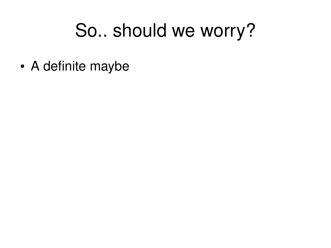#### So.. should we worry?

• A definite maybe